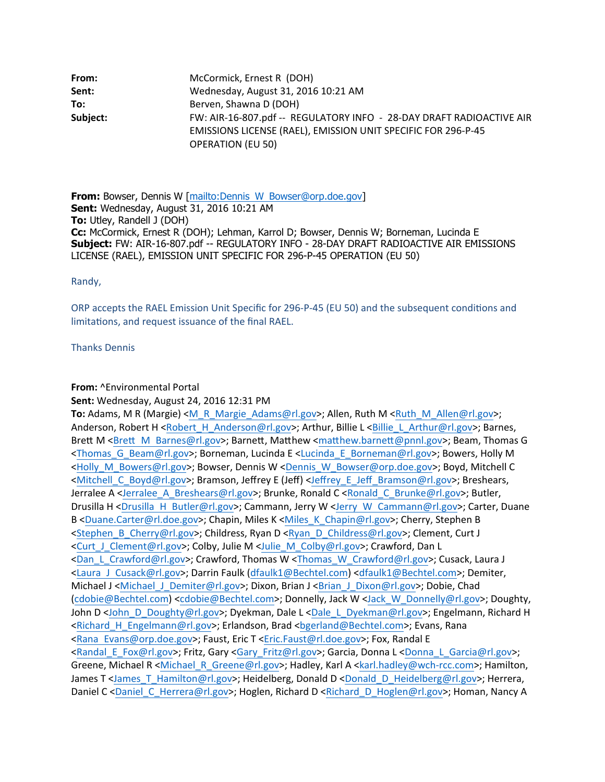| From:                      | McCormick, Ernest R (DOH)                                                                                                                                         |
|----------------------------|-------------------------------------------------------------------------------------------------------------------------------------------------------------------|
| Sent:                      | Wednesday, August 31, 2016 10:21 AM                                                                                                                               |
| To:                        | Berven, Shawna D (DOH)                                                                                                                                            |
| Subject:                   | FW: AIR-16-807.pdf -- REGULATORY INFO - 28-DAY DRAFT RADIOACTIVE AIR<br>EMISSIONS LICENSE (RAEL), EMISSION UNIT SPECIFIC FOR 296-P-45<br><b>OPERATION (EU 50)</b> |
|                            |                                                                                                                                                                   |
|                            | <b>From:</b> Bowser, Dennis W [mailto:Dennis W Bowser@orp.doe.gov]                                                                                                |
|                            | Sent: Wednesday, August 31, 2016 10:21 AM                                                                                                                         |
| To: Utley, Randell J (DOH) |                                                                                                                                                                   |
|                            | Cc: McCormick Frnest R (DOH): Lehman Karrol D: Bowser Dennis W: Borneman Lucinda F                                                                                |

**Sent:** Wednesday, August 31, 2016 10:21 AM **To:** Utley, Randell J (DOH) **Cc:** McCormick, Ernest R (DOH); Lehman, Karrol D; Bowser, Dennis W; Borneman, Lucinda E **Subject:** FW: AIR-16-807.pdf -- REGULATORY INFO - 28-DAY DRAFT RADIOACTIVE AIR EMISSIONS LICENSE (RAEL), EMISSION UNIT SPECIFIC FOR 296-P-45 OPERATION (EU 50)

Randy,

ORP accepts the RAEL Emission Unit Specific for 296-P-45 (EU 50) and the subsequent conditions and limitations, and request issuance of the final RAEL.

Thanks Dennis

## **From:** ^Environmental Portal

**Sent:** Wednesday, August 24, 2016 12:31 PM

**To:** Adams, M R (Margie) <M R Margie Adams@rl.gov>; Allen, Ruth M <Ruth M Allen@rl.gov>; Anderson, Robert H <Robert H Anderson@rl.gov>; Arthur, Billie L <Billie L Arthur@rl.gov>; Barnes, Randy,<br>
ORP accepts the RAEL Emission Unit Specific for 296-P-45 (EU 50) and the subsequent conditions and<br>
limitations, and request issuance of the final RAEL.<br>
Thanks Dennis<br> **Seri.:** Wednesday, August 24, 2016 12:31 PM<br> <Thomas\_G\_Beam@rl.gov>; Borneman, Lucinda E <Lucinda\_E\_Borneman@rl.gov>; Bowers, Holly M <Holly\_M\_Bowers@rl.gov>; Bowser, Dennis W <Dennis\_W\_Bowser@orp.doe.gov>; Boyd, Mitchell C <Mitchell\_C\_Boyd@rl.gov>; Bramson, Jeffrey E (Jeff) <Jeffrey\_E\_Jeff\_Bramson@rl.gov>; Breshears, Jerralee A <Jerralee\_A\_Breshears@rl.gov>; Brunke, Ronald C <Ronald C\_Brunke@rl.gov>; Butler, Thanks Dennis<br> **Sent:** Wednesday, August 24, 2016 12:31 PM<br> **Sent:** Wednesday, August 24, 2016 12:31 PM<br> **Anderson, Robert H** Khobert H. Anderson@rl.gov>; Althur, Billie L. <u>Chilie L. Arthur@rl.gov</u>>; Barnes,<br> **Brett M** <B B <Duane.Carter@rl.doe.gov>; Chapin, Miles K <Miles\_K\_Chapin@rl.gov>; Cherry, Stephen B <Stephen\_B\_Cherry@rl.gov>; Childress, Ryan D <Ryan\_D\_Childress@rl.gov>; Clement, Curt J <Curt\_J\_Clement@rl.gov>; Colby, Julie M <Julie\_M\_Colby@rl.gov>; Crawford, Dan L <Dan\_L\_Crawford@rl.gov>; Crawford, Thomas W <Thomas\_W\_Crawford@rl.gov>; Cusack, Laura J To: Adams, M R (Margie) <M\_R\_Margie\_Adams@rl.gov>; Allen, Ruth M <Ruth\_M\_Allen@rl.gov>; Randerson, Robert H <Robert <u>H\_Anderson@rl.gov</u>>; Arthur, Billie L\_<<u>Billie L\_Arthur@rl.gov</u>>; Barnes, Brett M\_Shert M\_Anderson\_Revert Michael J <Michael J Demiter@rl.gov>; Dixon, Brian J <Brian J Dixon@rl.gov>; Dobie, Chad (cdobie@Bechtel.com) <cdobie@Bechtel.com>; Donnelly, Jack W <Jack\_W\_Donnelly@rl.gov>; Doughty, John D <John\_D\_Doughty@rl.gov>; Dyekman, Dale L <Dale\_L\_Dyekman@rl.gov>; Engelmann, Richard H <Richard\_H\_Engelmann@rl.gov>; Erlandson, Brad <bgerland@Bechtel.com>; Evans, Rana <Mitchell\_C\_Boyd@rl.gov>; Bramson, Jeffrey E\_Jeff\_Scamson@rl.gov>; Breshears,<br>Derralee A <Jerralee A\_Breshears@rl.gov>; Brunke, Ronald C <Ronald C\_Brunke@rl.gov>; Butler,<br>Drusilla H<br/>Scuence.Carter@rl.gov>; Campann, Jer <Randal\_E\_Fox@rl.gov>; Fritz, Gary <Gary\_Fritz@rl.gov>; Garcia, Donna L <Donna\_L\_Garcia@rl.gov>; Greene, Michael R <Michael\_R\_Greene@rl.gov>; Hadley, Karl A <karl.hadley@wch-rcc.com>; Hamilton, James T <James\_T\_Hamilton@rl.gov>; Heidelberg, Donald D <Donald D\_Heidelberg@rl.gov>; Herrera, Daniel C <Daniel C Herrera@rl.gov>; Hoglen, Richard D <Richard D Hoglen@rl.gov>; Homan, Nancy A